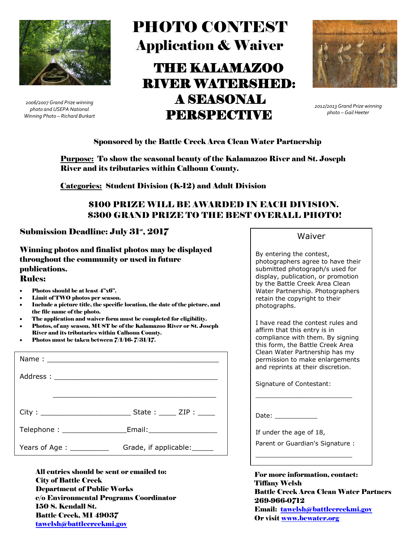

*2006/2007 Grand Prize winning photo and USEPA National Winning Photo – Richard Burkart*

# PHOTO CONTEST Application & Waiver THE KALAMAZOO RIVER WATERSHED: A SEASONAL PERSPECTIVE



*2012/2013 Grand Prize winning photo – Gail Heeter* 

#### Sponsored by the Battle Creek Area Clean Water Partnership

Purpose: To show the seasonal beauty of the Kalamazoo River and St. Joseph River and its tributaries within Calhoun County.

Categories: Student Division (K-12) and Adult Division

## \$100 PRIZE WILL BE AWARDED IN EACH DIVISION. \$300 GRAND PRIZE TO THE BEST OVERALL PHOTO!

### Submission Deadline: July  $31^{\circ}$ ,  $2017$

Winning photos and finalist photos may be displayed throughout the community or used in future publications.

#### Rules:

- Photos should be at least 4"x6".
- Limit of TWO photos per season.
- Include a picture title, the specific location, the date of the picture, and the file name of the photo.
- The application and waiver form must be completed for eligibility.
- Photos, of any season, MUST be of the Kalamazoo River or St. Joseph River and its tributaries within Calhoun County.
- Photos must be taken between 7/1/16- 7/31/17.

|                                                                                  | $State:$ $ZIP:$              |
|----------------------------------------------------------------------------------|------------------------------|
| Telephone : ___________________________Email:___________________________________ |                              |
| Years of Age : ____________                                                      | Grade, if applicable: ______ |

All entries should be sent or emailed to: City of Battle Creek Department of Public Works c/o Environmental Programs Coordinator 150 S. Kendall St. Battle Creek, MI 49037 [tawelsh@battlecreekmi.gov](mailto:tawelsh@battlecreekmi.gov)

Waiver

By entering the contest, photographers agree to have their submitted photograph/s used for display, publication, or promotion by the Battle Creek Area Clean Water Partnership. Photographers retain the copyright to their photographs.

I have read the contest rules and affirm that this entry is in compliance with them. By signing this form, the Battle Creek Area Clean Water Partnership has my permission to make enlargements and reprints at their discretion.

Signature of Contestant:

Date: \_\_\_\_\_\_\_\_\_\_\_\_\_\_\_

If under the age of 18,

Parent or Guardian's Signature : \_\_\_\_\_\_\_\_\_\_\_\_\_\_\_\_\_\_\_\_\_\_\_\_\_

\_\_\_\_\_\_\_\_\_\_\_\_\_\_\_\_\_\_\_\_\_\_\_\_\_

For more information, contact: Tiffany Welsh Battle Creek Area Clean Water Partners 269-966-0712 Email: [tawelsh@battlecreekmi.gov](mailto:tawelsh@battlecreekmi.gov) Or visit [www.bcwater.org](http://www.bcwater.org/)